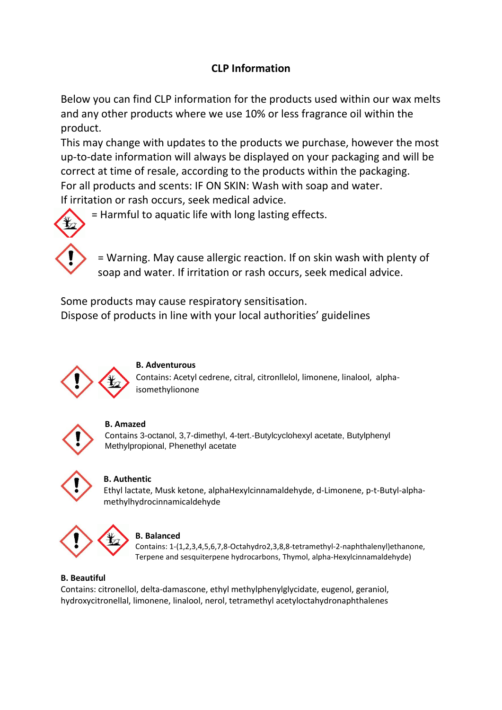# **CLP Information**

Below you can find CLP information for the products used within our wax melts and any other products where we use 10% or less fragrance oil within the product.

This may change with updates to the products we purchase, however the most up-to-date information will always be displayed on your packaging and will be correct at time of resale, according to the products within the packaging. For all products and scents: IF ON SKIN: Wash with soap and water. If irritation or rash occurs, seek medical advice.

= Harmful to aquatic life with long lasting effects.



= Warning. May cause allergic reaction. If on skin wash with plenty of soap and water. If irritation or rash occurs, seek medical advice.

Some products may cause respiratory sensitisation. Dispose of products in line with your local authorities' guidelines



# **B. Adventurous**

Contains: Acetyl cedrene, citral, citronllelol, limonene, linalool, alphaisomethylionone



# **B. Amazed**

Contains 3-octanol, 3,7-dimethyl, 4-tert.-Butylcyclohexyl acetate, Butylphenyl Methylpropional, Phenethyl acetate



# **B. Authentic**

Ethyl lactate, Musk ketone, alphaHexylcinnamaldehyde, d-Limonene, p-t-Butyl-alphamethylhydrocinnamicaldehyde



# **B. Balanced**

Contains: 1-(1,2,3,4,5,6,7,8-Octahydro2,3,8,8-tetramethyl-2-naphthalenyl)ethanone, Terpene and sesquiterpene hydrocarbons, Thymol, alpha-Hexylcinnamaldehyde)

# **B. Beautiful**

Contains: citronellol, delta-damascone, ethyl methylphenylglycidate, eugenol, geraniol, hydroxycitronellal, limonene, linalool, nerol, tetramethyl acetyloctahydronaphthalenes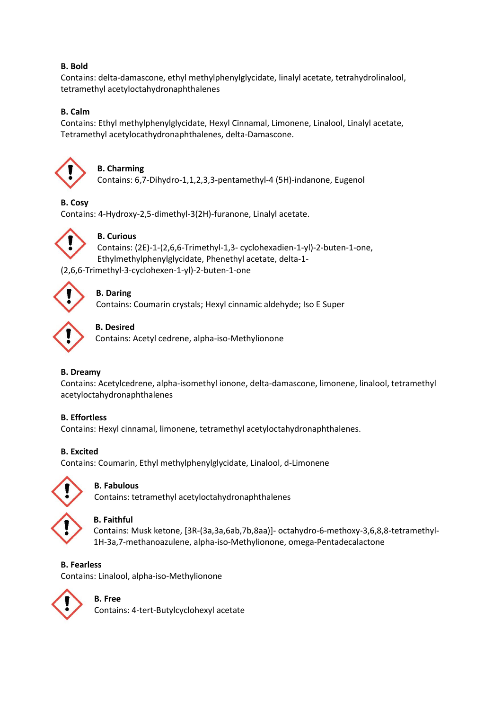# **B. Bold**

Contains: delta-damascone, ethyl methylphenylglycidate, linalyl acetate, tetrahydrolinalool, tetramethyl acetyloctahydronaphthalenes

# **B. Calm**

Contains: Ethyl methylphenylglycidate, Hexyl Cinnamal, Limonene, Linalool, Linalyl acetate, Tetramethyl acetylocathydronaphthalenes, delta-Damascone.



# **B. Charming**

Contains: 6,7-Dihydro-1,1,2,3,3-pentamethyl-4 (5H)-indanone, Eugenol

# **B. Cosy**

Contains: 4-Hydroxy-2,5-dimethyl-3(2H)-furanone, Linalyl acetate.



# **B. Curious**

Contains: (2E)-1-(2,6,6-Trimethyl-1,3- cyclohexadien-1-yl)-2-buten-1-one, Ethylmethylphenylglycidate, Phenethyl acetate, delta-1- (2,6,6-Trimethyl-3-cyclohexen-1-yl)-2-buten-1-one



# **B. Daring**

Contains: Coumarin crystals; Hexyl cinnamic aldehyde; Iso E Super



# **B. Desired**

Contains: Acetyl cedrene, alpha-iso-Methylionone

# **B. Dreamy**

Contains: Acetylcedrene, alpha-isomethyl ionone, delta-damascone, limonene, linalool, tetramethyl acetyloctahydronaphthalenes

# **B. Effortless**

Contains: Hexyl cinnamal, limonene, tetramethyl acetyloctahydronaphthalenes.

# **B. Excited**

Contains: Coumarin, Ethyl methylphenylglycidate, Linalool, d-Limonene



# **B. Fabulous**

Contains: tetramethyl acetyloctahydronaphthalenes

**B. Faithful**

Contains: Musk ketone, [3R-(3a,3a,6ab,7b,8aa)]- octahydro-6-methoxy-3,6,8,8-tetramethyl-1H-3a,7-methanoazulene, alpha-iso-Methylionone, omega-Pentadecalactone

# **B. Fearless**

Contains: Linalool, alpha-iso-Methylionone



# **B. Free**

Contains: 4-tert-Butylcyclohexyl acetate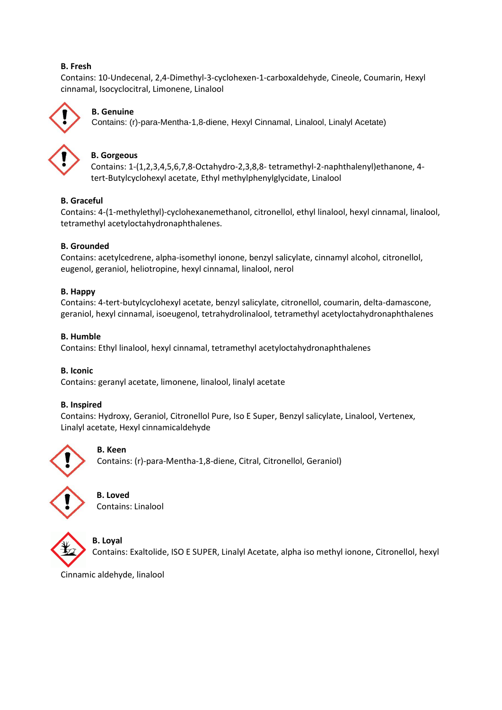### **B. Fresh**

Contains: 10-Undecenal, 2,4-Dimethyl-3-cyclohexen-1-carboxaldehyde, Cineole, Coumarin, Hexyl cinnamal, Isocyclocitral, Limonene, Linalool



# **B. Genuine**

Contains: (r)-para-Mentha-1,8-diene, Hexyl Cinnamal, Linalool, Linalyl Acetate)



### **B. Gorgeous**

Contains: 1-(1,2,3,4,5,6,7,8-Octahydro-2,3,8,8- tetramethyl-2-naphthalenyl)ethanone, 4 tert-Butylcyclohexyl acetate, Ethyl methylphenylglycidate, Linalool

#### **B. Graceful**

Contains: 4-(1-methylethyl)-cyclohexanemethanol, citronellol, ethyl linalool, hexyl cinnamal, linalool, tetramethyl acetyloctahydronaphthalenes.

#### **B. Grounded**

Contains: acetylcedrene, alpha-isomethyl ionone, benzyl salicylate, cinnamyl alcohol, citronellol, eugenol, geraniol, heliotropine, hexyl cinnamal, linalool, nerol

#### **B. Happy**

Contains: 4-tert-butylcyclohexyl acetate, benzyl salicylate, citronellol, coumarin, delta-damascone, geraniol, hexyl cinnamal, isoeugenol, tetrahydrolinalool, tetramethyl acetyloctahydronaphthalenes

#### **B. Humble**

Contains: Ethyl linalool, hexyl cinnamal, tetramethyl acetyloctahydronaphthalenes

#### **B. Iconic**

Contains: geranyl acetate, limonene, linalool, linalyl acetate

#### **B. Inspired**

Contains: Hydroxy, Geraniol, Citronellol Pure, Iso E Super, Benzyl salicylate, Linalool, Vertenex, Linalyl acetate, Hexyl cinnamicaldehyde



#### **B. Keen**

Contains: (r)-para-Mentha-1,8-diene, Citral, Citronellol, Geraniol)





# **B. Loyal**

Contains: Exaltolide, ISO E SUPER, Linalyl Acetate, alpha iso methyl ionone, Citronellol, hexyl

Cinnamic aldehyde, linalool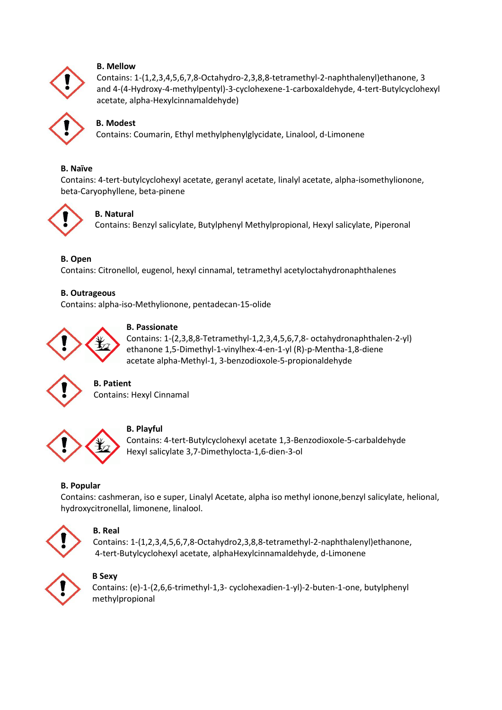

#### **B. Mellow**

Contains: 1-(1,2,3,4,5,6,7,8-Octahydro-2,3,8,8-tetramethyl-2-naphthalenyl)ethanone, 3 and 4-(4-Hydroxy-4-methylpentyl)-3-cyclohexene-1-carboxaldehyde, 4-tert-Butylcyclohexyl acetate, alpha-Hexylcinnamaldehyde)



# **B. Modest**

Contains: Coumarin, Ethyl methylphenylglycidate, Linalool, d-Limonene

#### **B. Naïve**

Contains: 4-tert-butylcyclohexyl acetate, geranyl acetate, linalyl acetate, alpha-isomethylionone, beta-Caryophyllene, beta-pinene



# **B. Natural**

Contains: Benzyl salicylate, Butylphenyl Methylpropional, Hexyl salicylate, Piperonal

#### **B. Open**

Contains: Citronellol, eugenol, hexyl cinnamal, tetramethyl acetyloctahydronaphthalenes

#### **B. Outrageous**

Contains: alpha-iso-Methylionone, pentadecan-15-olide



**B. Passionate** Contains: 1-(2,3,8,8-Tetramethyl-1,2,3,4,5,6,7,8- octahydronaphthalen-2-yl) ethanone 1,5-Dimethyl-1-vinylhex-4-en-1-yl (R)-p-Mentha-1,8-diene acetate alpha-Methyl-1, 3-benzodioxole-5-propionaldehyde



# **B. Patient**

Contains: Hexyl Cinnamal



# **B. Playful**

Contains: 4-tert-Butylcyclohexyl acetate 1,3-Benzodioxole-5-carbaldehyde Hexyl salicylate 3,7-Dimethylocta-1,6-dien-3-ol

# **B. Popular**

Contains: cashmeran, iso e super, Linalyl Acetate, alpha iso methyl ionone,benzyl salicylate, helional, hydroxycitronellal, limonene, linalool.



# **B. Real**

Contains: 1-(1,2,3,4,5,6,7,8-Octahydro2,3,8,8-tetramethyl-2-naphthalenyl)ethanone, 4-tert-Butylcyclohexyl acetate, alphaHexylcinnamaldehyde, d-Limonene



# **B Sexy**

Contains: (e)-1-(2,6,6-trimethyl-1,3- cyclohexadien-1-yl)-2-buten-1-one, butylphenyl methylpropional